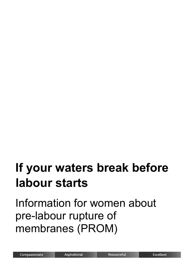# **If your waters break before labour starts**

Information for women about pre-labour rupture of membranes (PROM)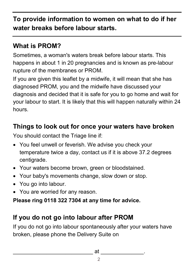**To provide information to women on what to do if her water breaks before labour starts.**

#### **What is PROM?**

Sometimes, a woman's waters break before labour starts. This happens in about 1 in 20 pregnancies and is known as pre-labour rupture of the membranes or PROM.

If you are given this leaflet by a midwife, it will mean that she has diagnosed PROM, you and the midwife have discussed your diagnosis and decided that it is safe for you to go home and wait for your labour to start. It is likely that this will happen naturally within 24 hours.

#### **Things to look out for once your waters have broken**

You should contact the Triage line if:

- You feel unwell or feverish. We advise you check your temperature twice a day, contact us if it is above 37.2 degrees centigrade.
- Your waters become brown, green or bloodstained.
- Your baby's movements change, slow down or stop.
- You go into labour.
- You are worried for any reason.

#### **Please ring 0118 322 7304 at any time for advice.**

### **If you do not go into labour after PROM**

If you do not go into labour spontaneously after your waters have broken, please phone the Delivery Suite on

\_\_\_\_\_\_\_\_\_\_\_\_\_\_\_\_\_\_\_\_\_\_\_\_\_\_ at \_\_\_\_\_\_\_\_\_\_\_\_\_\_.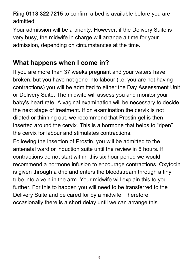Ring **0118 322 7215** to confirm a bed is available before you are admitted.

Your admission will be a priority. However, if the Delivery Suite is very busy, the midwife in charge will arrange a time for your admission, depending on circumstances at the time.

#### **What happens when I come in?**

If you are more than 37 weeks pregnant and your waters have broken, but you have not gone into labour (i.e. you are not having contractions) you will be admitted to either the Day Assessment Unit or Delivery Suite. The midwife will assess you and monitor your baby's heart rate. A vaginal examination will be necessary to decide the next stage of treatment. If on examination the cervix is not dilated or thinning out, we recommend that Prostin gel is then inserted around the cervix. This is a hormone that helps to "ripen" the cervix for labour and stimulates contractions.

Following the insertion of Prostin, you will be admitted to the antenatal ward or induction suite until the review in 6 hours. If contractions do not start within this six hour period we would recommend a hormone infusion to encourage contractions. Oxytocin is given through a drip and enters the bloodstream through a tiny tube into a vein in the arm. Your midwife will explain this to you further. For this to happen you will need to be transferred to the Delivery Suite and be cared for by a midwife. Therefore, occasionally there is a short delay until we can arrange this.